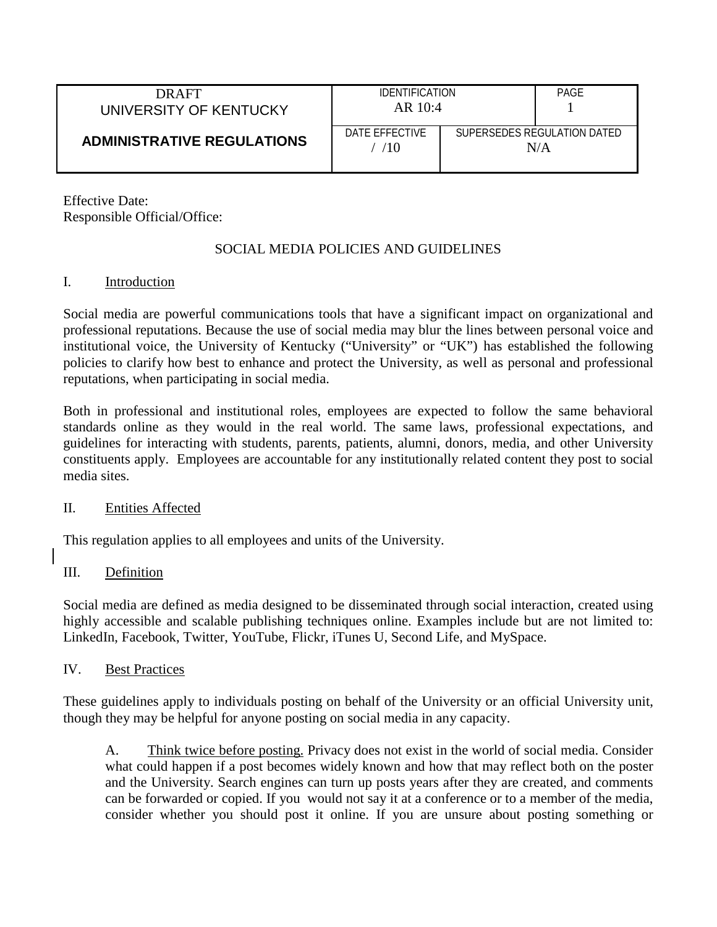| <b>DRAFT</b><br>UNIVERSITY OF KENTUCKY | <b>IDENTIFICATION</b><br>$AR$ 10:4 |                                    | PAGE |
|----------------------------------------|------------------------------------|------------------------------------|------|
| <b>ADMINISTRATIVE REGULATIONS</b>      | DATE FFFFCTIVE<br>10               | SUPERSEDES REGULATION DATED<br>N/A |      |

Effective Date: Responsible Official/Office:

### SOCIAL MEDIA POLICIES AND GUIDELINES

#### I. Introduction

Social media are powerful communications tools that have a significant impact on organizational and professional reputations. Because the use of social media may blur the lines between personal voice and institutional voice, the University of Kentucky ("University" or "UK") has established the following policies to clarify how best to enhance and protect the University, as well as personal and professional reputations, when participating in social media.

Both in professional and institutional roles, employees are expected to follow the same behavioral standards online as they would in the real world. The same laws, professional expectations, and guidelines for interacting with students, parents, patients, alumni, donors, media, and other University constituents apply. Employees are accountable for any institutionally related content they post to social media sites.

#### II. Entities Affected

This regulation applies to all employees and units of the University.

#### III. Definition

Social media are defined as media designed to be disseminated through social interaction, created using highly accessible and scalable publishing techniques online. Examples include but are not limited to: LinkedIn, Facebook, Twitter, YouTube, Flickr, iTunes U, Second Life, and MySpace.

#### IV. Best Practices

These guidelines apply to individuals posting on behalf of the University or an official University unit, though they may be helpful for anyone posting on social media in any capacity.

A. Think twice before posting. Privacy does not exist in the world of social media. Consider what could happen if a post becomes widely known and how that may reflect both on the poster and the University. Search engines can turn up posts years after they are created, and comments can be forwarded or copied. If you would not say it at a conference or to a member of the media, consider whether you should post it online. If you are unsure about posting something or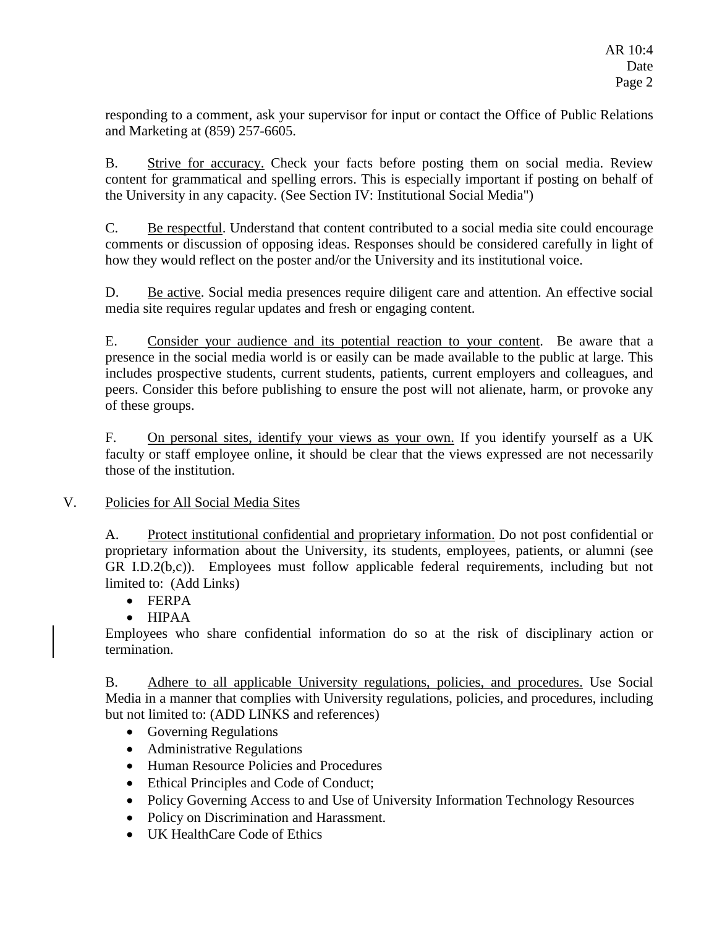responding to a comment, ask your supervisor for input or contact the Office of Public Relations and Marketing at (859) 257-6605.

B. Strive for accuracy. Check your facts before posting them on social media. Review content for grammatical and spelling errors. This is especially important if posting on behalf of the University in any capacity. (See Section IV: Institutional Social Media")

C. Be respectful. Understand that content contributed to a social media site could encourage comments or discussion of opposing ideas. Responses should be considered carefully in light of how they would reflect on the poster and/or the University and its institutional voice.

D. Be active. Social media presences require diligent care and attention. An effective social media site requires regular updates and fresh or engaging content.

E. Consider your audience and its potential reaction to your content. Be aware that a presence in the social media world is or easily can be made available to the public at large. This includes prospective students, current students, patients, current employers and colleagues, and peers. Consider this before publishing to ensure the post will not alienate, harm, or provoke any of these groups.

F. On personal sites, identify your views as your own. If you identify yourself as a UK faculty or staff employee online, it should be clear that the views expressed are not necessarily those of the institution.

# V. Policies for All Social Media Sites

A. Protect institutional confidential and proprietary information. Do not post confidential or proprietary information about the University, its students, employees, patients, or alumni (see GR I.D.2(b,c)). Employees must follow applicable federal requirements, including but not limited to: (Add Links)

• FERPA

• HIPAA

Employees who share confidential information do so at the risk of disciplinary action or termination.

B. Adhere to all applicable University regulations, policies, and procedures. Use Social Media in a manner that complies with University regulations, policies, and procedures, including but not limited to: (ADD LINKS and references)

- Governing Regulations
- Administrative Regulations
- Human Resource Policies and Procedures
- Ethical Principles and Code of Conduct;
- Policy Governing Access to and Use of University Information Technology Resources
- Policy on Discrimination and Harassment.
- **UK HealthCare Code of Ethics**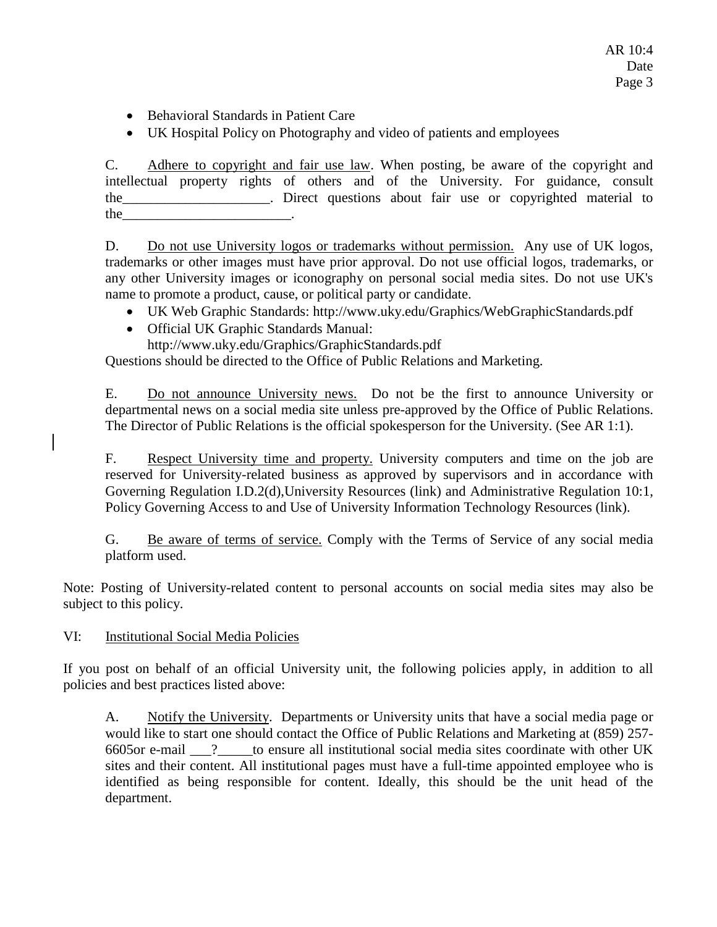AR 10:4 Date Page 3

- [Behavioral Standards in Patient Care](http://www.hosp.uky.edu/policies/viewpolicy.asp?PolicyManual=10&PolicyID=897)
- UK Hospital Policy on [Photography and video of patients and employees](http://www.hosp.uky.edu/policies/viewpolicy.asp?PolicyID=859)

C. Adhere to copyright and fair use law. When posting, be aware of the copyright and intellectual property rights of others and of the University. For guidance, consult the\_\_\_\_\_\_\_\_\_\_\_\_\_\_\_\_\_\_\_\_\_. Direct questions about fair use or copyrighted material to the state of the state of  $\sim$ 

D. Do not use University logos or trademarks without permission. Any use of UK logos, trademarks or other images must have prior approval. Do not use official logos, trademarks, or any other University images or iconography on personal social media sites. Do not use UK's name to promote a product, cause, or political party or candidate.

- UK Web Graphic Standards: <http://www.uky.edu/Graphics/WebGraphicStandards.pdf>
- Official UK Graphic Standards Manual:
	- <http://www.uky.edu/Graphics/GraphicStandards.pdf>

Questions should be directed to the Office of Public Relations and Marketing.

E. Do not announce University news. Do not be the first to announce University or departmental news on a social media site unless pre-approved by the Office of Public Relations. The Director of Public Relations is the official spokesperson for the University. (See AR 1:1).

F. Respect University time and property. University computers and time on the job are reserved for University-related business as approved by supervisors and in accordance with Governing Regulation I.D.2(d),University Resources (link) and Administrative Regulation 10:1, Policy Governing Access to and Use of University Information Technology Resources (link).

G. Be aware of terms of service. Comply with the Terms of Service of any social media platform used.

Note: Posting of University-related content to personal accounts on social media sites may also be subject to this policy.

VI: Institutional Social Media Policies

If you post on behalf of an official University unit, the following policies apply, in addition to all policies and best practices listed above:

A. Notify the University. Departments or University units that have a social media page or would like to start one should contact the Office of Public Relations and Marketing at (859) 257- 6605or e-mail \_\_\_?\_\_\_\_\_to ensure all institutional social media sites coordinate with other UK sites and their content. All institutional pages must have a full-time appointed employee who is identified as being responsible for content. Ideally, this should be the unit head of the department.